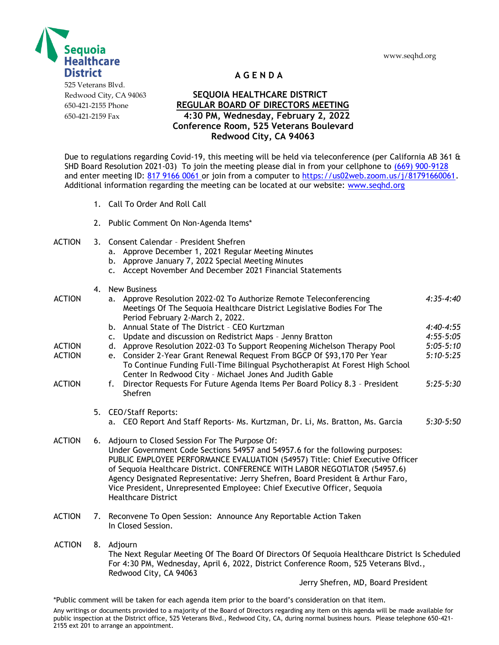



**A G E N D A**

## Redwood City, CA 94063 **SEQUOIA HEALTHCARE DISTRICT** 650-421-2155 Phone **REGULAR BOARD OF DIRECTORS MEETING** 650-421-2159 Fax **4:30 PM, Wednesday, February 2, 2022 Conference Room, 525 Veterans Boulevard Redwood City, CA 94063**

Due to regulations regarding Covid-19, this meeting will be held via teleconference (per California AB 361  $\&$ SHD Board Resolution 2021-03) To join the meeting please dial in from your cellphone to (669) 900-9128 and enter meeting ID: 817 9166 0061 or join from a computer to [https://us02web.zoom.us/j/81791660061.](https://us02web.zoom.us/j/81791660061) Additional information regarding the meeting can be located at our website: [www.seqhd.org](http://www.seqhd.org/) 

- 1. Call To Order And Roll Call
- 2. Public Comment On Non-Agenda Items\*
- ACTION 3. Consent Calendar President Shefren
	- a. Approve December 1, 2021 Regular Meeting Minutes
	- b. Approve January 7, 2022 Special Meeting Minutes
	- c. Accept November And December 2021 Financial Statements
	- 4. New Business

|               |    |                                                                                                                                                                                                                                                                                                                                                                                                                                                                                              | נכסוווכשט ווכי                                                                                                                                                                                                      |             |
|---------------|----|----------------------------------------------------------------------------------------------------------------------------------------------------------------------------------------------------------------------------------------------------------------------------------------------------------------------------------------------------------------------------------------------------------------------------------------------------------------------------------------------|---------------------------------------------------------------------------------------------------------------------------------------------------------------------------------------------------------------------|-------------|
| ACTION        |    | a.                                                                                                                                                                                                                                                                                                                                                                                                                                                                                           | Approve Resolution 2022-02 To Authorize Remote Teleconferencing<br>Meetings Of The Sequoia Healthcare District Legislative Bodies For The<br>Period February 2-March 2, 2022.                                       | $4:35-4:40$ |
|               |    |                                                                                                                                                                                                                                                                                                                                                                                                                                                                                              | b. Annual State of The District - CEO Kurtzman                                                                                                                                                                      | $4:40-4:55$ |
|               |    | c.                                                                                                                                                                                                                                                                                                                                                                                                                                                                                           | Update and discussion on Redistrict Maps - Jenny Bratton                                                                                                                                                            | $4:55-5:05$ |
| ACTION        |    | d.                                                                                                                                                                                                                                                                                                                                                                                                                                                                                           | Approve Resolution 2022-03 To Support Reopening Michelson Therapy Pool                                                                                                                                              | $5:05-5:10$ |
| ACTION        |    |                                                                                                                                                                                                                                                                                                                                                                                                                                                                                              | e. Consider 2-Year Grant Renewal Request From BGCP Of \$93,170 Per Year<br>To Continue Funding Full-Time Bilingual Psychotherapist At Forest High School<br>Center In Redwood City - Michael Jones And Judith Gable | $5:10-5:25$ |
| ACTION        |    | f.                                                                                                                                                                                                                                                                                                                                                                                                                                                                                           | Director Requests For Future Agenda Items Per Board Policy 8.3 - President<br>Shefren                                                                                                                               | $5:25-5:30$ |
|               |    | 5. CEO/Staff Reports:                                                                                                                                                                                                                                                                                                                                                                                                                                                                        |                                                                                                                                                                                                                     |             |
|               |    |                                                                                                                                                                                                                                                                                                                                                                                                                                                                                              | a. CEO Report And Staff Reports- Ms. Kurtzman, Dr. Li, Ms. Bratton, Ms. Garcia                                                                                                                                      | $5:30-5:50$ |
| <b>ACTION</b> |    | 6. Adjourn to Closed Session For The Purpose Of:<br>Under Government Code Sections 54957 and 54957.6 for the following purposes:<br>PUBLIC EMPLOYEE PERFORMANCE EVALUATION (54957) Title: Chief Executive Officer<br>of Sequoia Healthcare District. CONFERENCE WITH LABOR NEGOTIATOR (54957.6)<br>Agency Designated Representative: Jerry Shefren, Board President & Arthur Faro,<br>Vice President, Unrepresented Employee: Chief Executive Officer, Sequoia<br><b>Healthcare District</b> |                                                                                                                                                                                                                     |             |
| ACTION        | 7. |                                                                                                                                                                                                                                                                                                                                                                                                                                                                                              | Reconvene To Open Session: Announce Any Reportable Action Taken<br>In Closed Session.                                                                                                                               |             |

 ACTION 8. Adjourn The Next Regular Meeting Of The Board Of Directors Of Sequoia Healthcare District Is Scheduled For 4:30 PM, Wednesday, April 6, 2022, District Conference Room, 525 Veterans Blvd., Redwood City, CA 94063

Jerry Shefren, MD, Board President

\*Public comment will be taken for each agenda item prior to the board's consideration on that item.

Any writings or documents provided to a majority of the Board of Directors regarding any item on this agenda will be made available for public inspection at the District office, 525 Veterans Blvd., Redwood City, CA, during normal business hours. Please telephone 650-421- 2155 ext 201 to arrange an appointment.